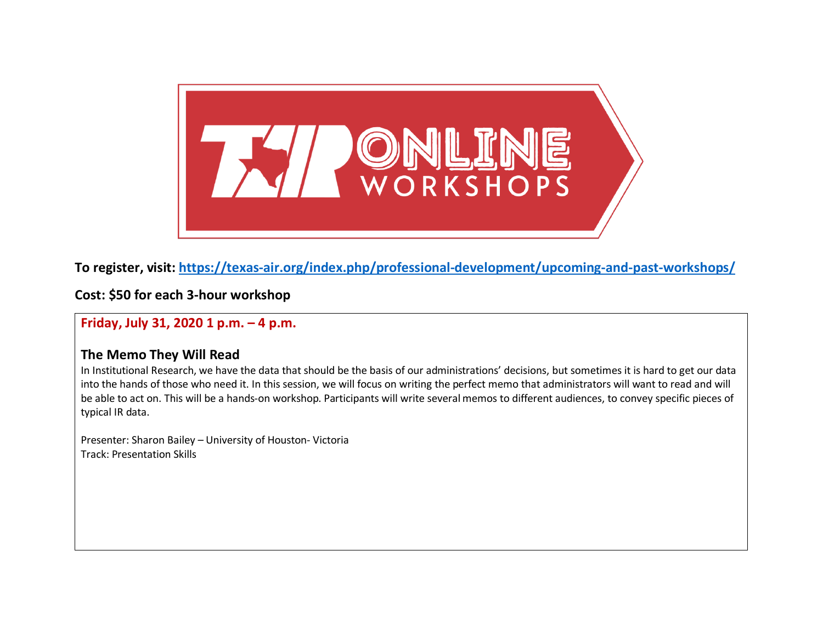

**To register, visit:<https://texas-air.org/index.php/professional-development/upcoming-and-past-workshops/>**

**Cost: \$50 for each 3-hour workshop**

**Friday, July 31, 2020 1 p.m. – 4 p.m.**

#### **The Memo They Will Read**

In Institutional Research, we have the data that should be the basis of our administrations' decisions, but sometimes it is hard to get our data into the hands of those who need it. In this session, we will focus on writing the perfect memo that administrators will want to read and will be able to act on. This will be a hands-on workshop. Participants will write several memos to different audiences, to convey specific pieces of typical IR data.

Presenter: Sharon Bailey – University of Houston- Victoria Track: Presentation Skills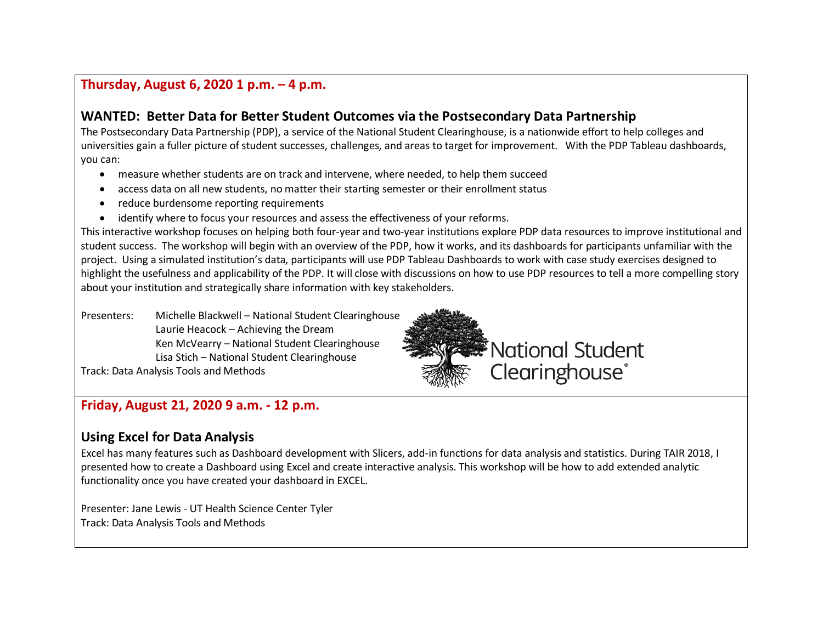# **Thursday, August 6, 2020 1 p.m. – 4 p.m.**

## **WANTED: Better Data for Better Student Outcomes via the Postsecondary Data Partnership**

The Postsecondary Data Partnership (PDP), a service of the National Student Clearinghouse, is a nationwide effort to help colleges and universities gain a fuller picture of student successes, challenges, and areas to target for improvement. With the PDP Tableau dashboards, you can:

- measure whether students are on track and intervene, where needed, to help them succeed
- access data on all new students, no matter their starting semester or their enrollment status
- reduce burdensome reporting requirements
- identify where to focus your resources and assess the effectiveness of your reforms.

This interactive workshop focuses on helping both four-year and two-year institutions explore PDP data resources to improve institutional and student success. The workshop will begin with an overview of the PDP, how it works, and its dashboards for participants unfamiliar with the project. Using a simulated institution's data, participants will use PDP Tableau Dashboards to work with case study exercises designed to highlight the usefulness and applicability of the PDP. It will close with discussions on how to use PDP resources to tell a more compelling story about your institution and strategically share information with key stakeholders.

Presenters: Michelle Blackwell – National Student Clearinghouse Laurie Heacock – Achieving the Dream Ken McVearry – National Student Clearinghouse Lisa Stich – National Student Clearinghouse Track: Data Analysis Tools and Methods



# **Friday, August 21, 2020 9 a.m. - 12 p.m.**

# **Using Excel for Data Analysis**

Excel has many features such as Dashboard development with Slicers, add-in functions for data analysis and statistics. During TAIR 2018, I presented how to create a Dashboard using Excel and create interactive analysis. This workshop will be how to add extended analytic functionality once you have created your dashboard in EXCEL.

Presenter: Jane Lewis - UT Health Science Center Tyler Track: Data Analysis Tools and Methods